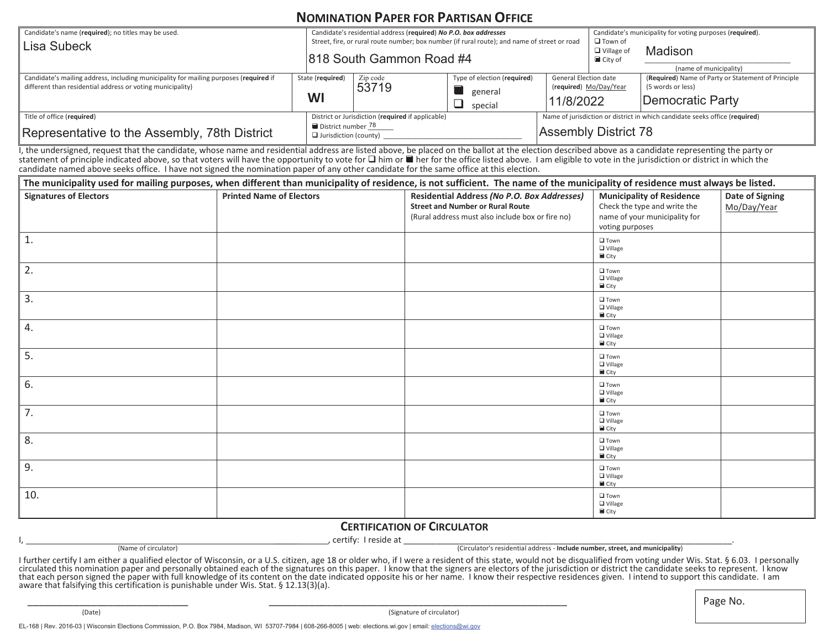## **NOMINATION PAPER FOR PARTISAN OFFICE**

| Candidate's name (required); no titles may be used.<br>Lisa Subeck                                                                                  |                        | Candidate's residential address (required) No P.O. box addresses<br>Street, fire, or rural route number; box number (if rural route); and name of street or road<br>818 South Gammon Road #4 |                                                        |                                                                     | $\Box$ Town of<br>$\Box$ Village of<br>$\blacksquare$ City of                                              | Candidate's municipality for voting purposes (required).<br>Madison<br>(name of municipality) |  |
|-----------------------------------------------------------------------------------------------------------------------------------------------------|------------------------|----------------------------------------------------------------------------------------------------------------------------------------------------------------------------------------------|--------------------------------------------------------|---------------------------------------------------------------------|------------------------------------------------------------------------------------------------------------|-----------------------------------------------------------------------------------------------|--|
| Candidate's mailing address, including municipality for mailing purposes (required if<br>different than residential address or voting municipality) | State (required)<br>WI | Zip code<br>53719                                                                                                                                                                            | Type of election (required)<br>general<br>special<br>┙ | <b>General Election date</b><br>(required) Mo/Day/Year<br>11/8/2022 |                                                                                                            | (Required) Name of Party or Statement of Principle<br>(5 words or less)<br>Democratic Party   |  |
| Title of office (required)<br>Representative to the Assembly, 78th District                                                                         |                        | District or Jurisdiction (required if applicable)<br>District number 78<br>$\Box$ Jurisdiction (county)                                                                                      |                                                        |                                                                     | Name of jurisdiction or district in which candidate seeks office (required)<br><b>Assembly District 78</b> |                                                                                               |  |

I, the undersigned, request that the candidate, whose name and residential address are listed above, be placed on the ballot at the election described above as a candidate representing the party or statement of principle indicated above, so that voters will have the opportunity to vote for  $\Box$  him or  $\Box$  her for the office listed above. I am eligible to vote in the jurisdiction or district in which the candidate named above seeks office. I have not signed the nomination paper of any other candidate for the same office at this election.

| The municipality used for mailing purposes, when different than municipality of residence, is not sufficient. The name of the municipality of residence must always be listed. |                                 |                                                  |                                       |                 |  |  |  |  |
|--------------------------------------------------------------------------------------------------------------------------------------------------------------------------------|---------------------------------|--------------------------------------------------|---------------------------------------|-----------------|--|--|--|--|
| <b>Signatures of Electors</b>                                                                                                                                                  | <b>Printed Name of Electors</b> | Residential Address (No P.O. Box Addresses)      | <b>Municipality of Residence</b>      | Date of Signing |  |  |  |  |
|                                                                                                                                                                                |                                 | <b>Street and Number or Rural Route</b>          | Check the type and write the          | Mo/Day/Year     |  |  |  |  |
|                                                                                                                                                                                |                                 | (Rural address must also include box or fire no) | name of your municipality for         |                 |  |  |  |  |
|                                                                                                                                                                                |                                 |                                                  | voting purposes                       |                 |  |  |  |  |
| $\overline{1}$ .                                                                                                                                                               |                                 |                                                  | $\square$ Town                        |                 |  |  |  |  |
|                                                                                                                                                                                |                                 |                                                  | $\Box$ Village                        |                 |  |  |  |  |
|                                                                                                                                                                                |                                 |                                                  | $\blacksquare$ City                   |                 |  |  |  |  |
| 2.                                                                                                                                                                             |                                 |                                                  | $\square$ Town                        |                 |  |  |  |  |
|                                                                                                                                                                                |                                 |                                                  | $\Box$ Village<br>$\blacksquare$ City |                 |  |  |  |  |
| 3.                                                                                                                                                                             |                                 |                                                  |                                       |                 |  |  |  |  |
|                                                                                                                                                                                |                                 |                                                  | $\square$ Town<br>$\Box$ Village      |                 |  |  |  |  |
|                                                                                                                                                                                |                                 |                                                  | City                                  |                 |  |  |  |  |
| 4.                                                                                                                                                                             |                                 |                                                  | $\square$ Town                        |                 |  |  |  |  |
|                                                                                                                                                                                |                                 |                                                  | $\Box$ Village                        |                 |  |  |  |  |
|                                                                                                                                                                                |                                 |                                                  | City                                  |                 |  |  |  |  |
| 5.                                                                                                                                                                             |                                 |                                                  | $\square$ Town<br>$\Box$ Village      |                 |  |  |  |  |
|                                                                                                                                                                                |                                 |                                                  | $\blacksquare$ City                   |                 |  |  |  |  |
| 6.                                                                                                                                                                             |                                 |                                                  | $\square$ Town                        |                 |  |  |  |  |
|                                                                                                                                                                                |                                 |                                                  | $\Box$ Village                        |                 |  |  |  |  |
|                                                                                                                                                                                |                                 |                                                  | $\blacksquare$ City                   |                 |  |  |  |  |
| 7.                                                                                                                                                                             |                                 |                                                  | $\square$ Town<br>$\Box$ Village      |                 |  |  |  |  |
|                                                                                                                                                                                |                                 |                                                  | $\blacksquare$ City                   |                 |  |  |  |  |
| 8.                                                                                                                                                                             |                                 |                                                  | $\square$ Town                        |                 |  |  |  |  |
|                                                                                                                                                                                |                                 |                                                  | $\Box$ Village                        |                 |  |  |  |  |
|                                                                                                                                                                                |                                 |                                                  | $\blacksquare$ City                   |                 |  |  |  |  |
| 9.                                                                                                                                                                             |                                 |                                                  | $\square$ Town                        |                 |  |  |  |  |
|                                                                                                                                                                                |                                 |                                                  | $\Box$ Village<br>$\blacksquare$ City |                 |  |  |  |  |
| 10.                                                                                                                                                                            |                                 |                                                  | $\square$ Town                        |                 |  |  |  |  |
|                                                                                                                                                                                |                                 |                                                  | $\Box$ Village                        |                 |  |  |  |  |
|                                                                                                                                                                                |                                 |                                                  | $\blacksquare$ City                   |                 |  |  |  |  |

## **CERTIFICATION OF CIRCULATOR**

I,  $\hbox{\small \underline{}}$  ,  $\hbox{\small \underline{}}$  ,  $\hbox{\small \underline{}}$  ,  $\hbox{\small \underline{}}$  ,  $\hbox{\small \underline{}}$  ,  $\hbox{\small \underline{}}$  ,  $\hbox{\small \underline{}}$  ,  $\hbox{\small \underline{}}$  ,  $\hbox{\small \underline{}}$  ,  $\hbox{\small \underline{}}$  ,  $\hbox{\small \underline{}}$  ,  $\hbox{\small \underline{}}$  ,  $\hbox{\small \underline{}}$  ,  $\hbox{\small \underline{}}$  ,  $\hbox{\small \underline{}}$  ,  $\hbox{\small \underline$ (Name of circulator) (Circulator's residential address - **Include number, street, and municipality**)

I further certify I am either a qualified elector of Wisconsin, or a U.S. citizen, age 18 or older who, if I were a resident of this state, would not be disqualified from voting under Wis. Stat. § 6.03. I personally<br>circul that each person signed the paper with full knowledge of its content on the date indicated opposite his or her name. I know their respective residences given. I intend to support this candidate. I am aware that falsifying this certification is punishable under Wis. Stat. § 12.13(3)(a).

(Date) (Signature of circulator)

\_\_\_\_\_\_\_\_\_\_\_\_\_\_\_\_\_\_\_\_\_\_\_\_\_\_\_\_ \_\_\_\_\_\_\_\_\_\_\_\_\_\_\_\_\_\_\_\_\_\_\_\_\_\_\_\_\_\_\_\_\_\_\_\_\_\_\_\_\_\_\_\_\_\_\_\_\_\_\_\_ Page No.